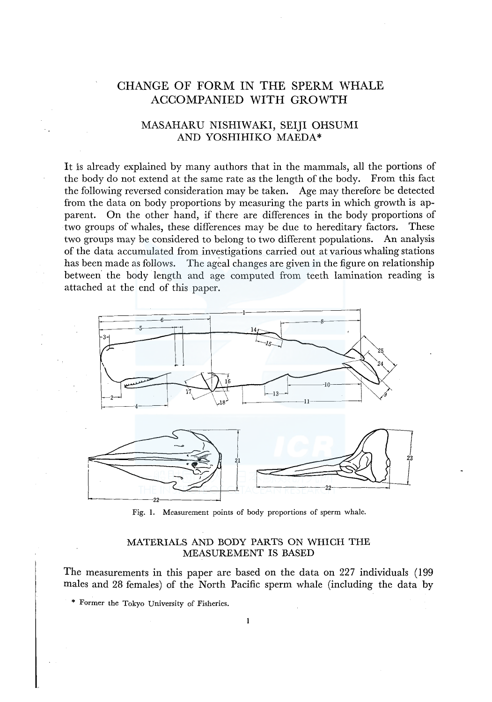# CHANGE OF FORM IN THE SPERM WHALE ACCOMPANIED WITH GROWTH

## MASAHARU NISHIWAKI, SEIJI OHSUMI AND YOSHIHIKO MAEDA\*

It is already explained by many authors that in the mammals, all the portions of the body do not extend at the same rate as the length of the body. From this fact the following reversed consideration may be taken. Age may therefore be detected from the data on body proportions by measuring the parts in which growth is apparent. On the other hand, if there are differences in the body proportions of two groups of whales, these differences may be due to hereditary factors. These two groups may be considered to belong to two different populations. An analysis of the data accumulated from investigations carried out at various whaling stations has been made as follows. The ageal changes are given in the figure on relationship between the body length and age computed from teeth lamination reading is attached at the end of this paper.





Fig. I. Measurement points of body proportions of sperm whale.

## MATERIALS AND BODY PARTS ON WHICH THE MEASUREMENT IS BASED

The measurements in this paper are based on the data on 227 individuals ( 199 males and 28 females) of the North Pacific sperm whale (including the data by

\* Former the Tokyo University of Fisheries.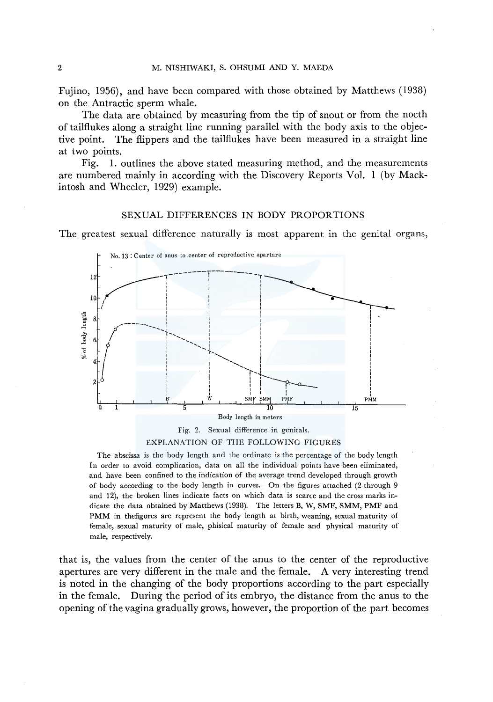Fujino, 1956), and have been compared with those obtained by Matthews (1938) on the Antractic sperm whale.

The data are obtained by measuring from the tip of snout or from the nocth of tailflukes along a straight line running parallel with the body axis to the objective point. The flippers and the tailflukes have been measured in a straight line at two points.

1. outlines the above stated measuring method, and the measurements Fig. are numbered mainly in according with the Discovery Reports Vol. 1 (by Mackintosh and Wheeler, 1929) example.

## SEXUAL DIFFERENCES IN BODY PROPORTIONS

The greatest sexual difference naturally is most apparent in the genital organs,



EXPLANATION OF THE FOLLOWING FIGURES

The abscissa is the body length and the ordinate is the percentage of the body length In order to avoid complication, data on all the individual points have been eliminated, and have been confined to the indication of the average trend developed through growth of body according to the body length in curves. On the figures attached (2 through 9 and 12), the broken lines indicate facts on which data is scarce and the cross marks indicate the data obtained by Matthews (1938). The letters B, W, SMF, SMM, PMF and PMM in thefigures are represent the body length at birth, weaning, sexual maturity of female, sexual maturity of male, phisical maturity of female and physical maturity of male, respectively.

that is, the values from the center of the anus to the center of the reproductive apertures are very different in the male and the female. A very interesting trend is noted in the changing of the body proportions according to the part especially in the female. During the period of its embryo, the distance from the anus to the opening of the vagina gradually grows, however, the proportion of the part becomes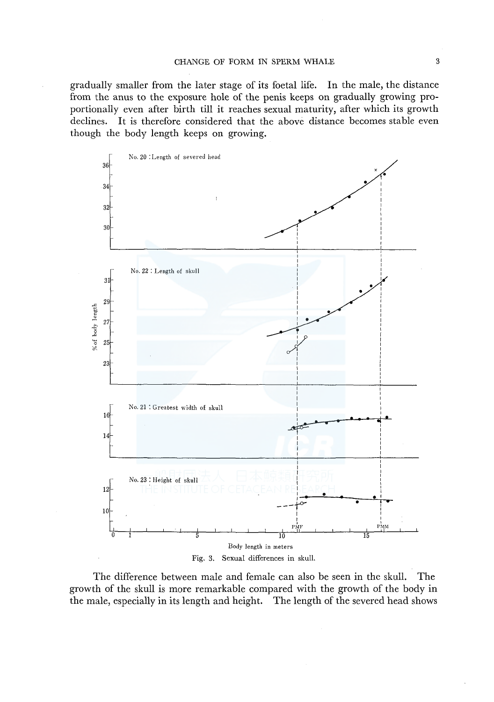gradually smaller from the later stage of its foetal life. In the male, the distance from the anus to the exposure hole of the penis keeps on gradually growing proportionally even after birth till it reaches sexual maturity, after which its growth declines. It is therefore considered that the above distance becomes stable even though the body length keeps on growing.



The difference between male and female can also be seen in the skull. The growth of the skull is more remarkable compared with the growth of the body in the male, especially in its length and height. The length of the severed head shows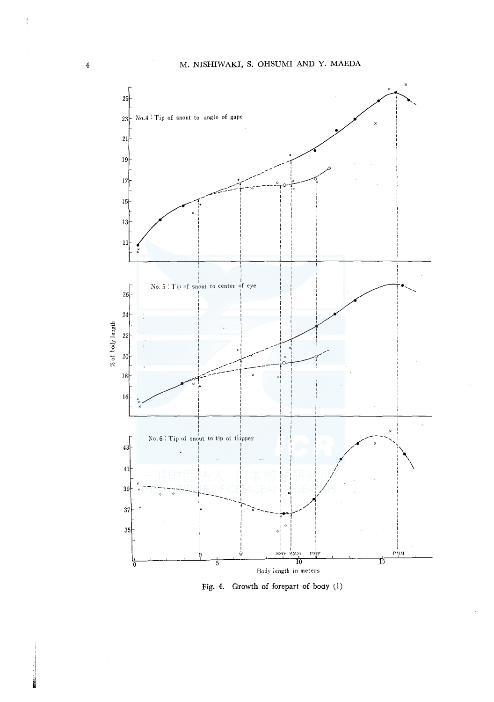

Fig. 4. Growth of forepart of body (1)

 $\frac{2}{3}$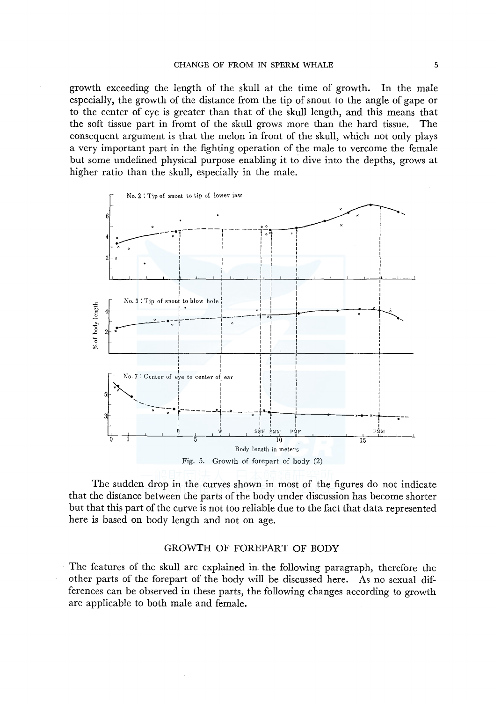growth exceeding the length of the skull at the time of growth. In the male especially, the growth of the distance from the tip of snout to the angle of gape or to the center of eye is greater than that of the skull length, and this means that the soft tissue part in fromt of the skull grows more than the hard tissue. The consequent argument is that the melon in front of the skull, which not only plays a very important part in the fighting operation of the male to vercome the female but some undefined physical purpose enabling it to dive into the depths, grows at higher ratio than the skull, especially in the male.



The sudden drop in the curves shown in most of the figures do not indicate that the distance between the parts of the body under discussion has become shorter but that this part of the curve is not too reliable due to the fact that data represented here is based on body length and not on age.

## GROWTH OF FOREPART OF BODY

The features of the skull are explained in the following paragraph, therefore the other parts of the forepart of the body will be discussed here. As no sexual differences can be observed in these parts, the following changes according to growth are applicable to both male and female.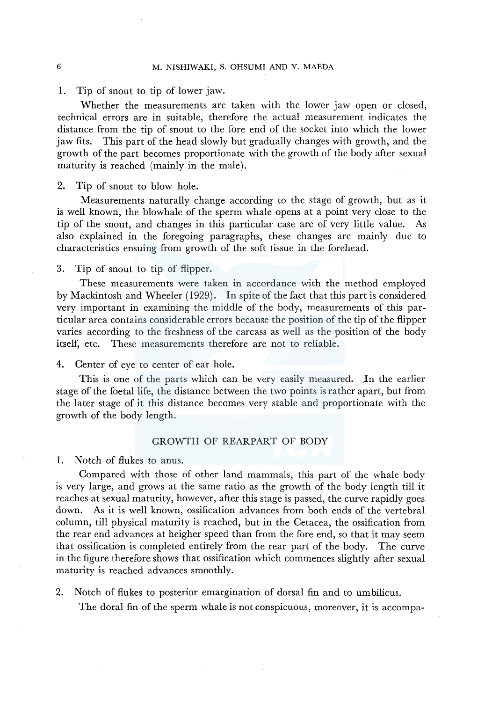1. Tip of snout to tip of lower jaw.

Whether the measurements are taken with the lower jaw open or closed, technical errors are in suitable, therefore the actual measurement indicates the distance from the tip of snout to the fore end of the socket into which the lower jaw fits. This part of the head slowly but gradually changes with growth, and the growth of the part becomes proportionate with the growth of the body after sexual maturity is reached (mainly in the male).

2. Tip of snout to blow hole.

Measurements naturally change according to the stage of growth, but as it is well known, the blowhale of the sperm whale opens at a point very close to the tip of the snout, and changes in this particular case are of very little value. As also explained in the foregoing paragraphs, these changes are mainly due to characteristics ensuing from growth of the soft tissue in the forehead.

3. Tip of snout to tip of flipper.

These measurements were taken in accordance with the method employed by Mackintosh and Wheeler ( 1929). In spite of the fact that this part is considered very important in examining the middle of the body, measurements of this particular area contains considerable errors because the position of the tip of the flipper varies according to the freshness of the carcass as well as the position of the body itself, etc. These measurements therefore are not to reliable.

4. Center of eye to center of ear hole.

This is one of the parts which can be very easily measured. In the earlier stage of the foetal life, the distance between the two points is rather apart, but from the later stage of it this distance becomes very stable and proportionate with the growth of the body length.

### GROWTH OF REARPART OF BODY

1. Notch of flukes to anus.

Compared with those of other land mammals, this part of the whale body is very large, and grows at the same ratio as the growth of the body length till it reaches at sexual maturity, however, after this stage is passed, the curve rapidly goes down. As it is well known, ossification advances from both ends of the vertebral column, till physical maturity is reached, but in the Cetacea, the ossification from the rear end advances at heigher speed than from the fore end, so that it may seem that ossification is completed entirely from the rear part of the body. The curve in the figure therefore shows that ossification which commences slightly after sexual maturity is reached advances smoothly.

2. Notch of flukes to posterior emargination of dorsal fin and to umbilicus.

The doral fin of the sperm whale is not conspicuous, moreover, it is accompa-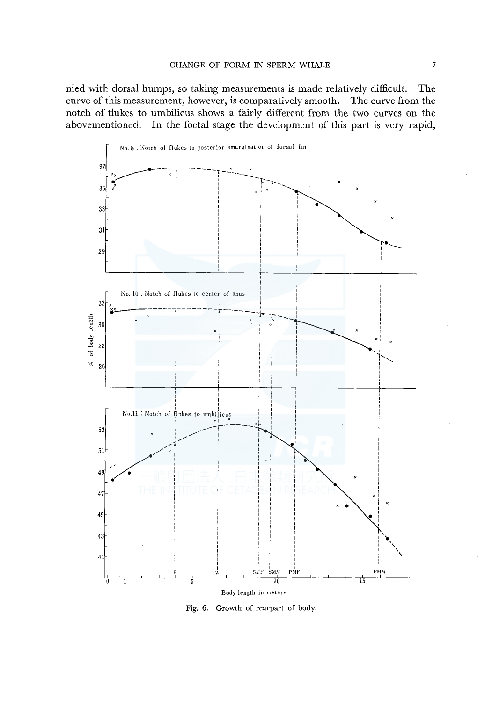nied with dorsal humps, so taking measurements is made relatively difficult. The curve of this measurement, however, is comparatively smooth. The curve from the notch of flukes to umbilicus shows a fairly different from the two curves on the abovementioned. In the foetal stage the development of this part is very rapid,



Fig. 6. Growth of rearpart of body.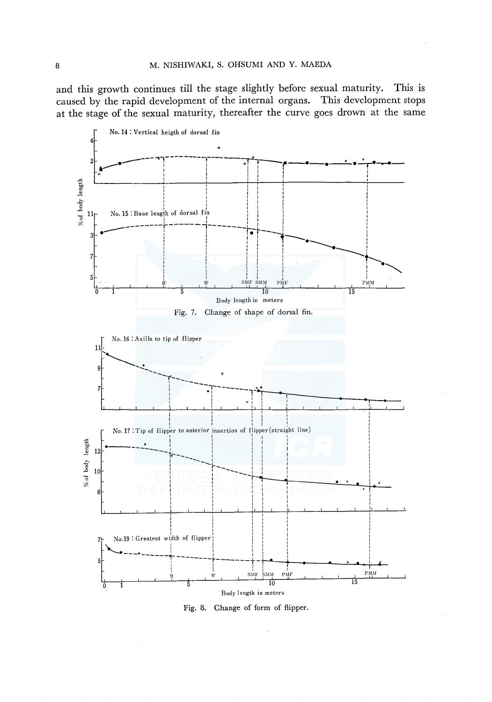and this growth continues till the stage slightly before sexual maturity. This is caused by the rapid development of the internal organs. This development stops at the stage of the sexual maturity, thereafter the curve goes drown at the same



Fig. 8. Change of form of flipper.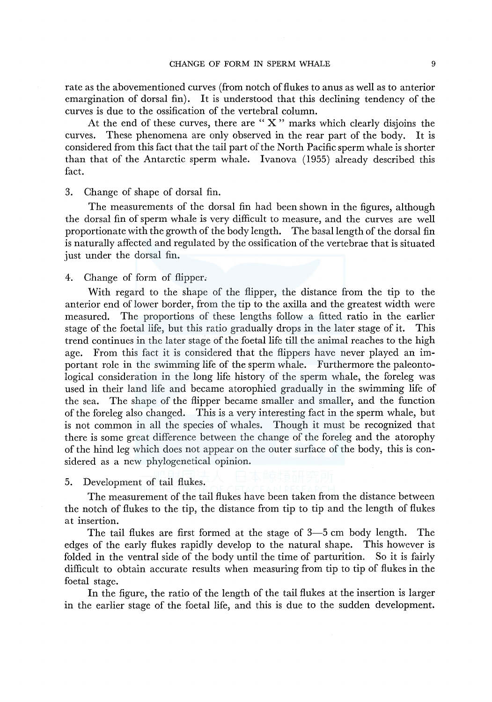rate as the abovementioned curves (from notch of flukes to anus as well as to anterior emargination of dorsal fin). It is understood that this declining tendency of the curves is due to the ossification of the vertebral column.

At the end of these curves, there are " $X$ " marks which clearly disjoins the curves. These phenomena are only observed in the rear part of the body. It is considered from this fact that the tail part of the North Pacific sperm whale is shorter than that of the Antarctic sperm whale. Ivanova (1955) already described this fact.

3. Change of shape of dorsal fin.

The measurements of the dorsal fin had been shown in the figures, although the dorsal fin of sperm whale is very difficult to measure, and the curves are well proportionate with the growth of the body length. The basal length of the dorsal fin is naturally affected and regulated by the ossification of the vertebrae that is situated just under the dorsal fin.

4. Change of form of flipper.

With regard to the shape of the flipper, the distance from the tip to the anterior end oflower border, from the tip to the axilla and the greatest width were measured. The proportions of these lengths follow a fitted ratio in the earlier stage of the foetal life, but this ratio gradually drops in the later stage of it. This trend continues in the later stage of the foetal life till the animal reaches to the high age. From this fact it is considered that the flippers have never played an important role in the swimming life of the sperm whale. Furthermore the paleontological consideration in the long life history of the sperm whale, the foreleg was used in their land life and became atorophied gradually in the swimming life of the sea. The shape of the flipper became smaller and smaller, and the function of the foreleg also changed. This is a very interesting fact in the sperm whale, but is not common in all the species of whales. Though it must be recognized that there is some great difference between the change of the foreleg and the atorophy of the hind leg which does not appear on the outer surface of the body, this is considered as a new phylogenetical opinion.

5. Development of tail flukes.

The measurement of the tail flukes have been taken from the distance between the notch of flukes to the tip, the distance from tip to tip and the length of flukes at insertion.

The tail flukes are first formed at the stage of 3-5 cm body length. The edges of the early flukes rapidly develop to the natural shape. This however is folded in the ventral side of the body until the time of parturition. So it is fairly difficult to obtain accurate results when measuring from tip to tip of flukes in the foetal stage.

In the figure, the ratio of the length of the tail flukes at the insertion is larger in the earlier stage of the foetal life, and this is due to the sudden development.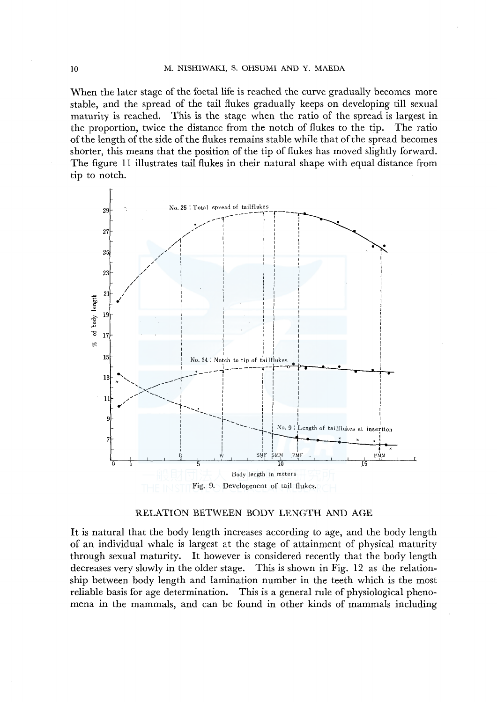#### M. NISHIWAKI, S. OHSUMI AND Y. MAEDA

When the later stage of the foetal life is reached the curve gradually becomes more stable, and the spread of the tail flukes gradually keeps on developing till sexual maturity is reached. This is the stage when the ratio of the spread is largest in the proportion, twice the distance from the notch of flukes to the tip. The ratio of the length of the side of the flukes remains stable while that of the spread becomes shorter, this means that the position of the tip of flukes has moved slightly forward. The figure 11 illustrates tail flukes in their natural shape with equal distance from tip to notch.



## RELATION BETWEEN BODY LENGTH AND AGE

It is natural that the body length increases according to age, and the body length of an individual whale is largest at the stage of attainment of physical maturity through sexual maturity. It however is considered recently that the body length decreases very slowly in the older stage. This is shown in Fig. 12 as the relationship between body length and lamination number in the teeth which is the most reliable basis for age determination. This is a general rule of physiological phenomena in the mammals, and can be found in other kinds of mammals including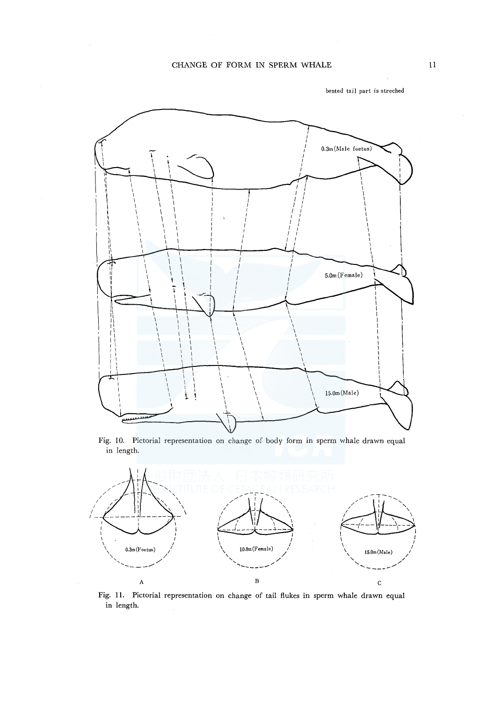

**bented tail part is streched** 

Fig. 10. Pictorial representation on change of body form in sperm whale drawn equal in length.



Fig. 11. Pictorial representation on change of tail flukes in sperm whale drawn equal in length.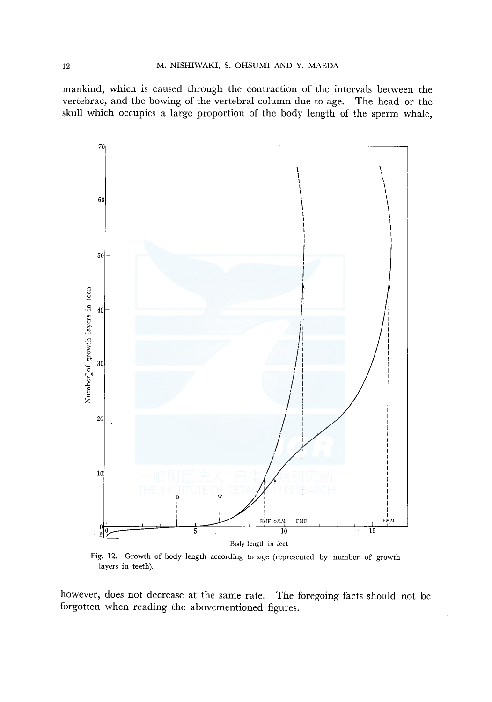mankind, which is caused through the contraction of the intervals between the vertebrae, and the bowing of the vertebral column due to age. The head or the skull which occupies a large proportion of the body length of the sperm whale,



Fig. 12. Growth of body length according to age (represented by number of growth layers in teeth).

however, does not decrease at the same rate. The foregoing facts should not be forgotten when reading the abovementioned figures.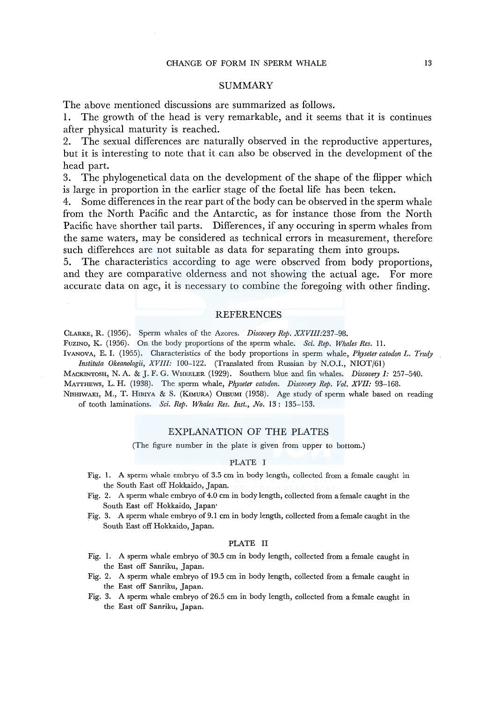## **SUMMARY**

The above mentioned discussions are summarized as follows.

1. The growth of the head is very remarkable, and it seems that it is continues after physical maturity is reached.

2. The sexual differences are naturally observed in the reproductive appertures, but it is interesting to note that it can also be observed in the development of the head part.

3. The phylogenetical data on the development of the shape of the flipper which is large in proportion in the earlier stage of the foetal life has been teken.

4. Some differences in the rear part of the body can be observed in the sperm whale from the North Pacific and the Antarctic, as for instance those from the North Pacific have shorther tail parts. Differences, if any occuring in sperm whales from the same waters, may be considered as technical errors in measurement, therefore such differehces are not suitable as data for separating them into groups.

5. The characteristics according to age were observed from body proportions, and they are comparative olderness and not showing the actual age. For more accurate data on age, it is necessary to combine the foregoing with other finding.

#### REFERENCES

CLARKE, R. (1956). Sperm whales of the Azores. *Discovery Rep. XXVIII:237-98.* 

FuzINo, K. (1956). On the body proportions of the sperm whale. *Sci. Rep. Whales Res.* II.

lvANOVA, E. I. (1955). Characteristics of the body proportions in sperm whale, *Physeter catodon* L. *Trudy Instituta Okeanologii, XVIII:* 100-122. (Translated from Russian by N.O.I., NIOT/61)

MACKINTOSH, N. A. & J. F. G. WHEELER (1929). Southern blue and fin whales. *Discovery I:* 257-540.

MATTHEWS, L. H. (1938). The sperm whale, *Physeter catodon. Discovery Rep. Vol. XVI!:* 93-168.

NISHIWAKI, M., T. HIBIYA & S. (KIMURA) OHSUMI (1958). Age study of sperm whale based on reading of tooth laminations. *Sci. Rep. Whales Res. Inst., No.* 13: 135-153.

## EXPLANATION OF THE PLATES

(The figure number in the plate is given from upper to bottom.)

#### PLATE I

- Fig. 1. A sperm whale embryo of 3.5 cm in body length, collected from a female caught in the South East off Hokkaido, Japan.
- Fig. 2. A sperm whale embryo of 4.0 cm in body length, collected from a female caught in the South East off Hokkaido, Japan·
- Fig. 3. A sperm whale embryo of 9.1 cm in body length, collected from a female caught in the South East off Hokkaido, Japan.

#### PLATE II

- Fig. I. A sperm whale embryo of 30.5 cm in body length, collected from a female caught in the East off Sanriku, Japan.
- Fig. 2. A sperm whale embryo of 19.5 cm in body length, collected from a female caught in the East off Sanriku, Japan.
- Fig. 3. A sperm whale embryo of 26.5 cm in body length, collected from a female caught in the East off Sanriku, Japan.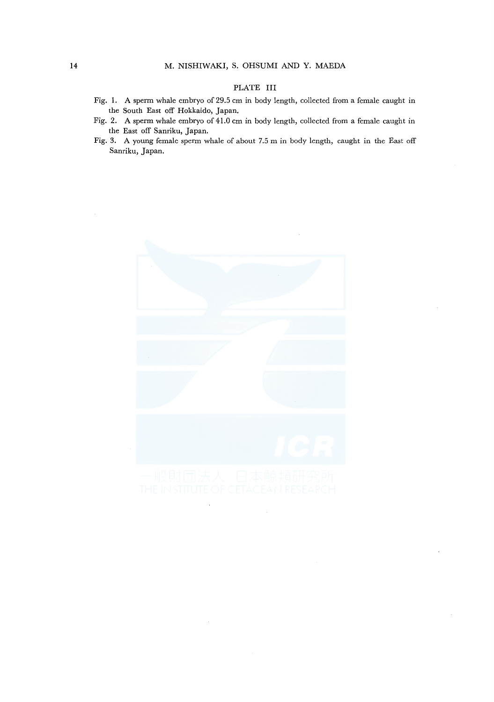## PLATE III

- Fig. 1. A sperm whale embryo of 29.5 cm in body length, collected from a female caught in the South East off Hokkaido, Japan.
- Fig. 2. A sperm whale embryo of 41.0 cm in body length, collected from a female caught in the East off Sanriku, Japan.
- Fig. 3. A young female sperm whale of about 7.5 m in body length, caught in the East off Sanriku, Japan.

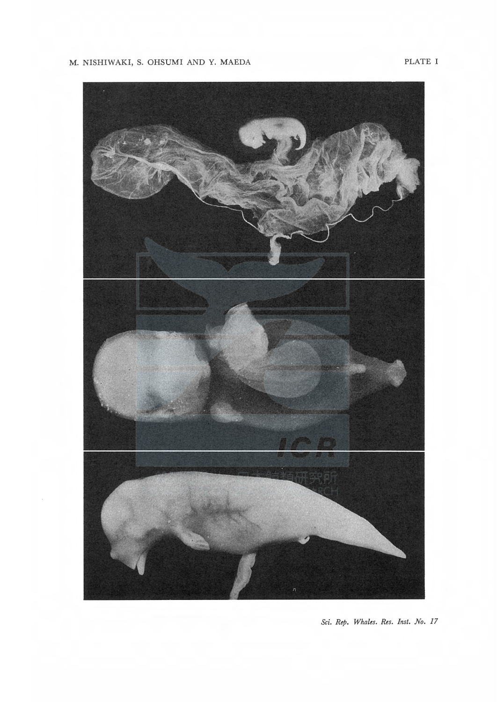## M. NISHIWAKI, S. OHSUMI AND Y. MAEDA

PLATE I



Sci. Rep. Whales. Res. Inst. No. 17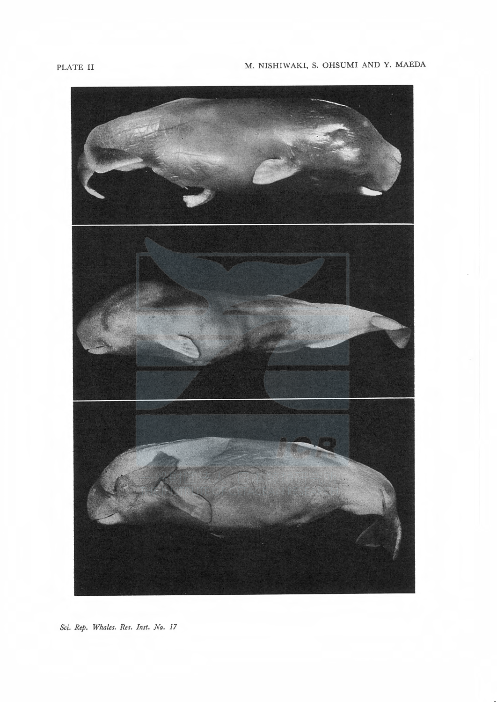# PLATE II M. NISHIWAKI, S. OHSUMI AND Y. MAEDA



Sci. Rep. Whales. Res. Inst. No. 17